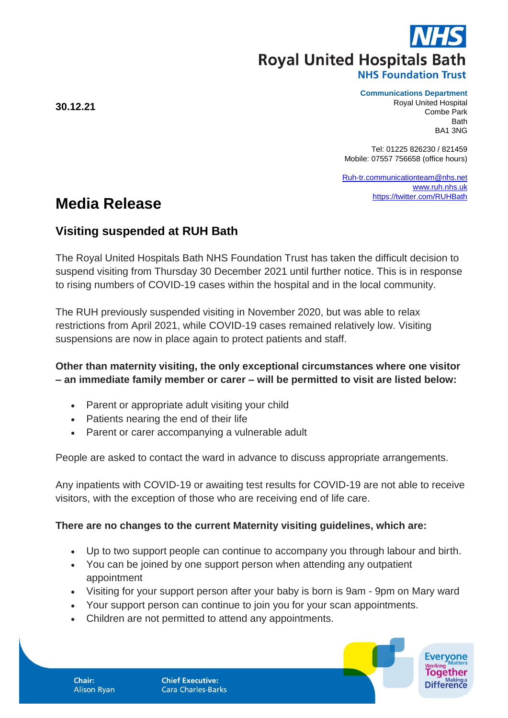**Royal United Hospitals Bath** 

#### **NHS Foundation Trust**

#### **Communications Department**

Royal United Hospital Combe Park Bath BA1 3NG

Tel: 01225 826230 / 821459 Mobile: 07557 756658 (office hours)

[Ruh-tr.communicationteam@nhs.net](mailto:Ruh-tr.communicationteam@nhs.net) [www.ruh.nhs.uk](http://www.ruh.nhs.uk/) <https://twitter.com/RUHBath>

# **Media Release**

# **Visiting suspended at RUH Bath**

The Royal United Hospitals Bath NHS Foundation Trust has taken the difficult decision to suspend visiting from Thursday 30 December 2021 until further notice. This is in response to rising numbers of COVID-19 cases within the hospital and in the local community.

The RUH previously suspended visiting in November 2020, but was able to relax restrictions from April 2021, while COVID-19 cases remained relatively low. Visiting suspensions are now in place again to protect patients and staff.

# **Other than maternity visiting, the only exceptional circumstances where one visitor – an immediate family member or carer – will be permitted to visit are listed below:**

- Parent or appropriate adult visiting your child
- Patients nearing the end of their life
- Parent or carer accompanying a vulnerable adult

People are asked to contact the ward in advance to discuss appropriate arrangements.

Any inpatients with COVID-19 or awaiting test results for COVID-19 are not able to receive visitors, with the exception of those who are receiving end of life care.

## **There are no changes to the current Maternity visiting guidelines, which are:**

- Up to two support people can continue to accompany you through labour and birth.
- You can be joined by one support person when attending any outpatient appointment
- Visiting for your support person after your baby is born is 9am 9pm on Mary ward
- Your support person can continue to join you for your scan appointments.
- Children are not permitted to attend any appointments.

**30.12.21**

Chair: **Alison Ryan**  **Chief Executive: Cara Charles-Barks** 

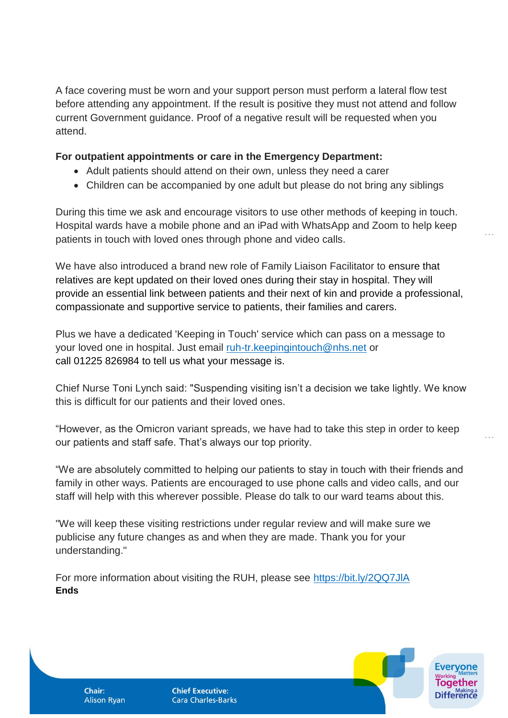A face covering must be worn and your support person must perform a lateral flow test before attending any appointment. If the result is positive they must not attend and follow current Government guidance. Proof of a negative result will be requested when you attend.

### **For outpatient appointments or care in the Emergency Department:**

- Adult patients should attend on their own, unless they need a carer
- Children can be accompanied by one adult but please do not bring any siblings

During this time we ask and encourage visitors to use other methods of keeping in touch. Hospital wards have a mobile phone and an iPad with WhatsApp and Zoom to help keep patients in touch with loved ones through phone and video calls.

We have also introduced a brand new role of Family Liaison Facilitator to ensure that relatives are kept updated on their loved ones during their stay in hospital. They will provide an essential link between patients and their next of kin and provide a professional, compassionate and supportive service to patients, their families and carers.

Plus we have a dedicated 'Keeping in Touch' service which can pass on a message to your loved one in hospital. Just email [ruh-tr.keepingintouch@nhs.net](mailto:ruh-tr.keepingintouch@nhs.net) or call 01225 826984 to tell us what your message is.

Chief Nurse Toni Lynch said: "Suspending visiting isn't a decision we take lightly. We know this is difficult for our patients and their loved ones.

"However, as the Omicron variant spreads, we have had to take this step in order to keep our patients and staff safe. That's always our top priority.

"We are absolutely committed to helping our patients to stay in touch with their friends and family in other ways. Patients are encouraged to use phone calls and video calls, and our staff will help with this wherever possible. Please do talk to our ward teams about this.

"We will keep these visiting restrictions under regular review and will make sure we publicise any future changes as and when they are made. Thank you for your understanding."

For more information about visiting the RUH, please see <https://bit.ly/2QQ7JlA> **Ends**

**Chair: Alison Ryan**  **Chief Executive: Cara Charles-Barks** 



…

…